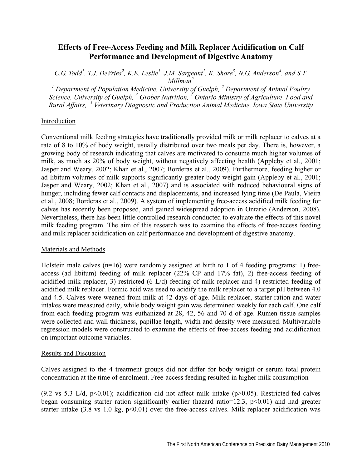# **Effects of Free-Access Feeding and Milk Replacer Acidification on Calf Performance and Development of Digestive Anatomy**

*C.G. Todd<sup>1</sup>, T.J. DeVries<sup>2</sup>, K.E. Leslie<sup>1</sup>, J.M. Sargeant<sup>1</sup>, K. Shore<sup>3</sup>, N.G. Anderson<sup>4</sup>, and S.T. Millman*<sup>3</sup>

<sup>1</sup> Department of Population Medicine, University of Guelph, <sup>2</sup> Department of Animal Poultry *Science, University of Guelph, <sup>3</sup> Grober Nutrition, <sup>4</sup> Ontario Ministry of Agriculture, Food and Rural Affairs, <sup>5</sup> Veterinary Diagnostic and Production Animal Medicine, Iowa State University* 

## Introduction

Conventional milk feeding strategies have traditionally provided milk or milk replacer to calves at a rate of 8 to 10% of body weight, usually distributed over two meals per day. There is, however, a growing body of research indicating that calves are motivated to consume much higher volumes of milk, as much as 20% of body weight, without negatively affecting health (Appleby et al., 2001; Jasper and Weary, 2002; Khan et al., 2007; Borderas et al., 2009). Furthermore, feeding higher or ad libitum volumes of milk supports significantly greater body weight gain (Appleby et al., 2001; Jasper and Weary, 2002; Khan et al., 2007) and is associated with reduced behavioural signs of hunger, including fewer calf contacts and displacements, and increased lying time (De Paula, Vieira et al., 2008; Borderas et al., 2009). A system of implementing free-access acidified milk feeding for calves has recently been proposed, and gained widespread adoption in Ontario (Anderson, 2008). Nevertheless, there has been little controlled research conducted to evaluate the effects of this novel milk feeding program. The aim of this research was to examine the effects of free-access feeding and milk replacer acidification on calf performance and development of digestive anatomy.

### Materials and Methods

Holstein male calves (n=16) were randomly assigned at birth to 1 of 4 feeding programs: 1) freeaccess (ad libitum) feeding of milk replacer (22% CP and 17% fat), 2) free-access feeding of acidified milk replacer, 3) restricted (6 L/d) feeding of milk replacer and 4) restricted feeding of acidified milk replacer. Formic acid was used to acidify the milk replacer to a target pH between 4.0 and 4.5. Calves were weaned from milk at 42 days of age. Milk replacer, starter ration and water intakes were measured daily, while body weight gain was determined weekly for each calf. One calf from each feeding program was euthanized at 28, 42, 56 and 70 d of age. Rumen tissue samples were collected and wall thickness, papillae length, width and density were measured. Multivariable regression models were constructed to examine the effects of free-access feeding and acidification on important outcome variables.

### Results and Discussion

Calves assigned to the 4 treatment groups did not differ for body weight or serum total protein concentration at the time of enrolment. Free-access feeding resulted in higher milk consumption

(9.2 vs 5.3 L/d,  $p<0.01$ ); acidification did not affect milk intake ( $p>0.05$ ). Restricted-fed calves began consuming starter ration significantly earlier (hazard ratio=12.3,  $p<0.01$ ) and had greater starter intake  $(3.8 \text{ vs } 1.0 \text{ kg}, \text{p} < 0.01)$  over the free-access calves. Milk replacer acidification was